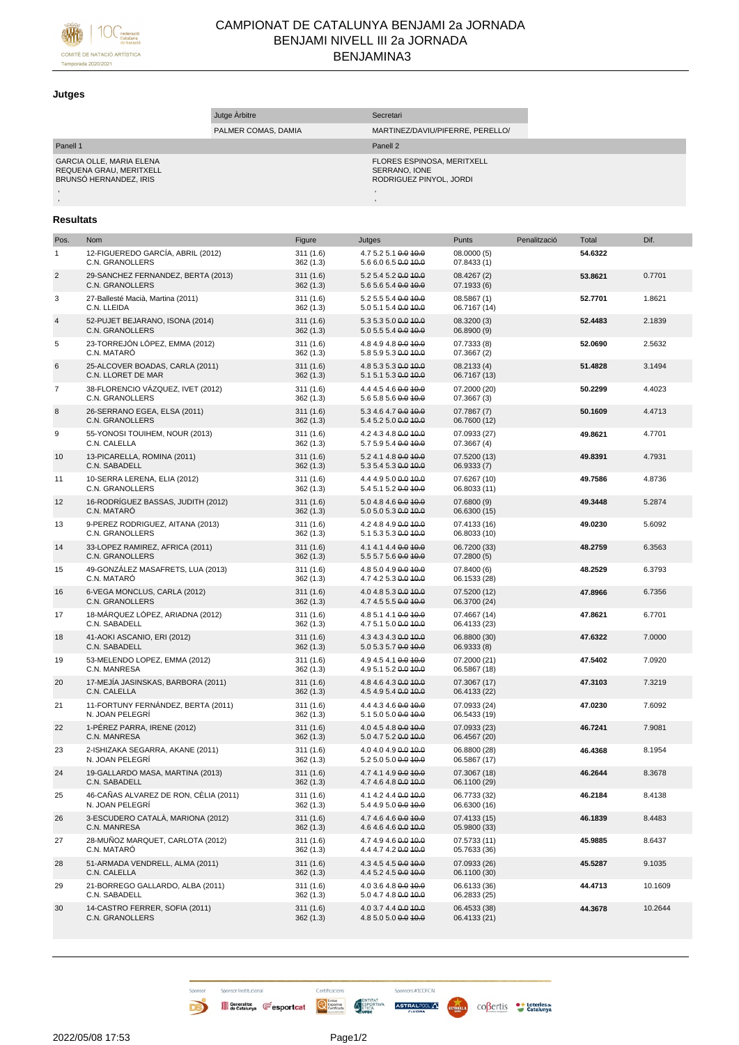

## CAMPIONAT DE CATALUNYA BENJAMI 2a JORNADA BENJAMI NIVELL III 2a JORNADA BENJAMINA3

## **Jutges**

| Jutge Arbitre                                                                        |                     | Secretari                                                              |  |
|--------------------------------------------------------------------------------------|---------------------|------------------------------------------------------------------------|--|
|                                                                                      | PALMER COMAS, DAMIA | MARTINEZ/DAVIU/PIFERRE, PERELLO/                                       |  |
| Panell 1                                                                             |                     | Panell 2                                                               |  |
| <b>GARCIA OLLE, MARIA ELENA</b><br>REQUENA GRAU, MERITXELL<br>BRUNSÓ HERNANDEZ. IRIS |                     | FLORES ESPINOSA, MERITXELL<br>SERRANO, IONE<br>RODRIGUEZ PINYOL, JORDI |  |
|                                                                                      |                     |                                                                        |  |
|                                                                                      |                     |                                                                        |  |

## **Resultats**

| Pos.           | Nom                                                      | Figure               | Jutges                                       | Punts                        | Penalització | Total   | Dif.    |
|----------------|----------------------------------------------------------|----------------------|----------------------------------------------|------------------------------|--------------|---------|---------|
| $\mathbf{1}$   | 12-FIGUEREDO GARCÍA, ABRIL (2012)<br>C.N. GRANOLLERS     | 311(1.6)<br>362(1.3) | 4.7 5.2 5.1 0.0 10.0<br>5.6 6.0 6.5 0.0 10.0 | 08.0000 (5)<br>07.8433 (1)   |              | 54.6322 |         |
| $\overline{c}$ | 29-SANCHEZ FERNANDEZ, BERTA (2013)<br>C.N. GRANOLLERS    | 311(1.6)<br>362(1.3) | 5.2 5.4 5.2 0.0 10.0<br>5.6 5.6 5.4 0.0 10.0 | 08.4267 (2)<br>07.1933(6)    |              | 53.8621 | 0.7701  |
| 3              | 27-Ballesté Macià, Martina (2011)<br>C.N. LLEIDA         | 311(1.6)<br>362(1.3) | 5.2 5.5 5.4 0.0 10.0<br>5.0 5.1 5.4 0.0 40.0 | 08.5867 (1)<br>06.7167 (14)  |              | 52.7701 | 1.8621  |
| $\overline{4}$ | 52-PUJET BEJARANO, ISONA (2014)<br>C.N. GRANOLLERS       | 311(1.6)<br>362(1.3) | 5.3 5.3 5.0 0.0 10.0<br>5.0 5.5 5.4 0.0 10.0 | 08.3200 (3)<br>06.8900 (9)   |              | 52.4483 | 2.1839  |
| 5              | 23-TORREJÓN LÓPEZ, EMMA (2012)<br>C.N. MATARÓ            | 311(1.6)<br>362(1.3) | 4.8 4.9 4.8 0.0 10.0<br>5.8 5.9 5.3 0.0 40.0 | 07.7333 (8)<br>07.3667 (2)   |              | 52.0690 | 2.5632  |
| 6              | 25-ALCOVER BOADAS, CARLA (2011)<br>C.N. LLORET DE MAR    | 311(1.6)<br>362(1.3) | 4.8 5.3 5.3 0.0 10.0<br>5.1 5.1 5.3 0.0 10.0 | 08.2133 (4)<br>06.7167 (13)  |              | 51.4828 | 3.1494  |
| $\overline{7}$ | 38-FLORENCIO VÁZQUEZ, IVET (2012)<br>C.N. GRANOLLERS     | 311(1.6)<br>362(1.3) | 4.4 4.5 4.6 0.0 10.0<br>5.6 5.8 5.6 0.0 10.0 | 07.2000 (20)<br>07.3667 (3)  |              | 50.2299 | 4.4023  |
| 8              | 26-SERRANO EGEA, ELSA (2011)<br>C.N. GRANOLLERS          | 311(1.6)<br>362(1.3) | 5.3 4.6 4.7 0.0 10.0<br>5.4 5.2 5.0 0.0 10.0 | 07.7867 (7)<br>06.7600 (12)  |              | 50.1609 | 4.4713  |
| 9              | 55-YONOSI TOUIHEM, NOUR (2013)<br>C.N. CALELLA           | 311(1.6)<br>362(1.3) | 4.2 4.3 4.8 0.0 10.0<br>5.7 5.9 5.4 0.0 10.0 | 07.0933 (27)<br>07.3667 (4)  |              | 49.8621 | 4.7701  |
| 10             | 13-PICARELLA, ROMINA (2011)<br>C.N. SABADELL             | 311(1.6)<br>362(1.3) | 5.2 4.1 4.8 0.0 10.0<br>5.3 5.4 5.3 0.0 10.0 | 07.5200 (13)<br>06.9333 (7)  |              | 49.8391 | 4.7931  |
| 11             | 10-SERRA LERENA, ELIA (2012)<br>C.N. GRANOLLERS          | 311(1.6)<br>362(1.3) | 4.4 4.9 5.0 0.0 10.0<br>5.4 5.1 5.2 0.0 10.0 | 07.6267 (10)<br>06.8033 (11) |              | 49.7586 | 4.8736  |
| 12             | 16-RODRÍGUEZ BASSAS, JUDITH (2012)<br>C.N. MATARÓ        | 311(1.6)<br>362(1.3) | 5.0 4.8 4.6 0.0 10.0<br>5.0 5.0 5.3 0.0 10.0 | 07.6800 (9)<br>06.6300 (15)  |              | 49.3448 | 5.2874  |
| 13             | 9-PEREZ RODRIGUEZ, AITANA (2013)<br>C.N. GRANOLLERS      | 311(1.6)<br>362(1.3) | 4.2 4.8 4.9 0.0 10.0<br>5.1 5.3 5.3 0.0 10.0 | 07.4133 (16)<br>06.8033 (10) |              | 49.0230 | 5.6092  |
| 14             | 33-LOPEZ RAMIREZ, AFRICA (2011)<br>C.N. GRANOLLERS       | 311(1.6)<br>362(1.3) | 4.1 4.1 4.4 0.0 10.0<br>5.5 5.7 5.6 0.0 10.0 | 06.7200 (33)<br>07.2800(5)   |              | 48.2759 | 6.3563  |
| 15             | 49-GONZÁLEZ MASAFRETS, LUA (2013)<br>C.N. MATARÓ         | 311(1.6)<br>362(1.3) | 4.8 5.0 4.9 0.0 10.0<br>4.7 4.2 5.3 0.0 10.0 | 07.8400 (6)<br>06.1533 (28)  |              | 48.2529 | 6.3793  |
| 16             | 6-VEGA MONCLUS, CARLA (2012)<br>C.N. GRANOLLERS          | 311(1.6)<br>362(1.3) | 4.0 4.8 5.3 0.0 10.0<br>4.7 4.5 5.5 0.0 10.0 | 07.5200 (12)<br>06.3700 (24) |              | 47.8966 | 6.7356  |
| 17             | 18-MÁRQUEZ LÓPEZ, ARIADNA (2012)<br>C.N. SABADELL        | 311(1.6)<br>362(1.3) | 4.8 5.1 4.1 0.0 10.0<br>4.7 5.1 5.0 0.0 10.0 | 07.4667 (14)<br>06.4133 (23) |              | 47.8621 | 6.7701  |
| 18             | 41-AOKI ASCANIO, ERI (2012)<br>C.N. SABADELL             | 311(1.6)<br>362(1.3) | 4.3 4.3 4.3 0.0 10.0<br>5.0 5.3 5.7 0.0 10.0 | 06.8800 (30)<br>06.9333 (8)  |              | 47.6322 | 7.0000  |
| 19             | 53-MELENDO LOPEZ, EMMA (2012)<br>C.N. MANRESA            | 311(1.6)<br>362(1.3) | 4.9 4.5 4.1 0.0 10.0<br>4.9 5.1 5.2 0.0 10.0 | 07.2000 (21)<br>06.5867 (18) |              | 47.5402 | 7.0920  |
| 20             | 17-MEJÍA JASINSKAS, BARBORA (2011)<br>C.N. CALELLA       | 311(1.6)<br>362(1.3) | 4.8 4.6 4.3 0.0 10.0<br>4.5 4.9 5.4 0.0 10.0 | 07.3067 (17)<br>06.4133 (22) |              | 47.3103 | 7.3219  |
| 21             | 11-FORTUNY FERNÁNDEZ, BERTA (2011)<br>N. JOAN PELEGRÍ    | 311(1.6)<br>362(1.3) | 4.4 4.3 4.6 0.0 10.0<br>5.1 5.0 5.0 0.0 10.0 | 07.0933 (24)<br>06.5433 (19) |              | 47.0230 | 7.6092  |
| 22             | 1-PÉREZ PARRA, IRENE (2012)<br>C.N. MANRESA              | 311(1.6)<br>362(1.3) | 4.0 4.5 4.8 0.0 10.0<br>5.0 4.7 5.2 0.0 10.0 | 07.0933 (23)<br>06.4567 (20) |              | 46.7241 | 7.9081  |
| 23             | 2-ISHIZAKA SEGARRA, AKANE (2011)<br>N. JOAN PELEGRÍ      | 311(1.6)<br>362(1.3) | 4.0 4.0 4.9 0.0 10.0<br>5.2 5.0 5.0 0.0 10.0 | 06.8800 (28)<br>06.5867 (17) |              | 46.4368 | 8.1954  |
| 24             | 19-GALLARDO MASA, MARTINA (2013)<br>C.N. SABADELL        | 311(1.6)<br>362(1.3) | 4.7 4.1 4.9 0.0 10.0<br>4.7 4.6 4.8 0.0 10.0 | 07.3067 (18)<br>06.1100 (29) |              | 46.2644 | 8.3678  |
| 25             | 46-CAÑAS ALVAREZ DE RON, CÉLIA (2011)<br>N. JOAN PELEGRÍ | 311(1.6)<br>362(1.3) | 4.1 4.2 4.4 0.0 10.0<br>5.4 4.9 5.0 0.0 10.0 | 06.7733 (32)<br>06.6300 (16) |              | 46.2184 | 8.4138  |
| 26             | 3-ESCUDERO CATALÀ, MARIONA (2012)<br>C.N. MANRESA        | 311(1.6)<br>362(1.3) | 4.7 4.6 4.6 0.0 10.0<br>4.6 4.6 4.6 0.0 10.0 | 07.4133 (15)<br>05.9800 (33) |              | 46.1839 | 8.4483  |
| 27             | 28-MUÑOZ MARQUET, CARLOTA (2012)<br>C.N. MATARÓ          | 311(1.6)<br>362(1.3) | 4.7 4.9 4.6 0.0 10.0<br>4.4 4.7 4.2 0.0 10.0 | 07.5733 (11)<br>05.7633 (36) |              | 45.9885 | 8.6437  |
| 28             | 51-ARMADA VENDRELL, ALMA (2011)<br>C.N. CALELLA          | 311(1.6)<br>362(1.3) | 4.3 4.5 4.5 0.0 10.0<br>4.4 5.2 4.5 0.0 10.0 | 07.0933 (26)<br>06.1100 (30) |              | 45.5287 | 9.1035  |
| 29             | 21-BORREGO GALLARDO, ALBA (2011)<br>C.N. SABADELL        | 311(1.6)<br>362(1.3) | 4.0 3.6 4.8 0.0 10.0<br>5.0 4.7 4.8 0.0 10.0 | 06.6133 (36)<br>06.2833 (25) |              | 44.4713 | 10.1609 |
| 30             | 14-CASTRO FERRER, SOFIA (2011)<br>C.N. GRANOLLERS        | 311(1.6)<br>362(1.3) | 4.0 3.7 4.4 0.0 10.0<br>4.8 5.0 5.0 0.0 40.0 | 06.4533 (38)<br>06.4133 (21) |              | 44.3678 | 10.2644 |

Sponsor Institucional Generalitat Gesportcat Confession Anticorporter Confession Confession Confession Confession Confession Confession Confession Confession Confession Confession Confession Confession Confession Confession Confession Confessio

B

Sponsors #100FCN

ASTRALPOOLA ESTRELLA COBertis toteries at Loteries at

Certificacions